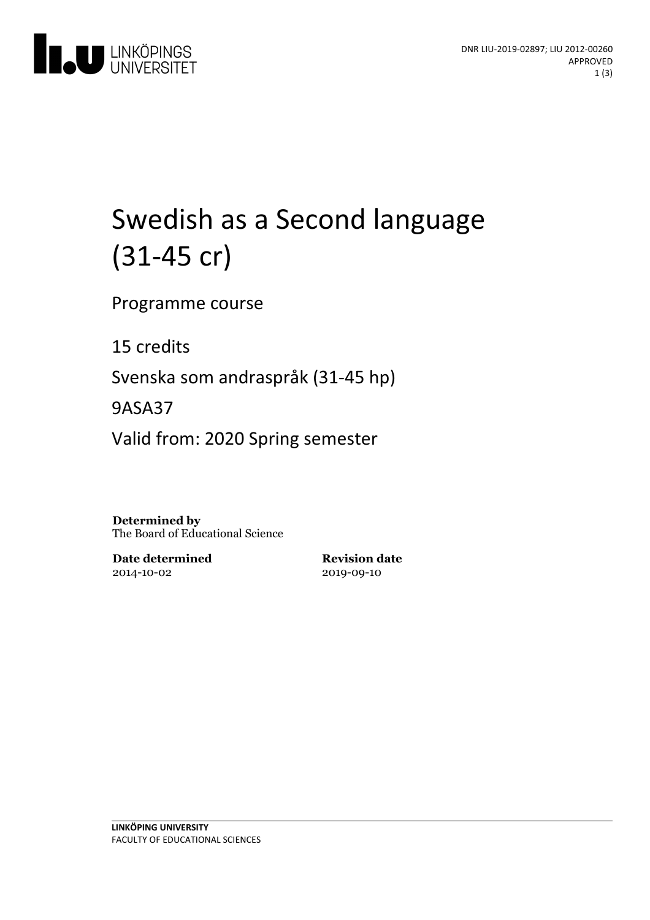

# Swedish as a Second language (31-45 cr)

Programme course

15 credits

Svenska som andraspråk (31-45 hp)

9ASA37

Valid from: 2020 Spring semester

**Determined by** The Board of Educational Science

**Date determined** 2014-10-02

**Revision date** 2019-09-10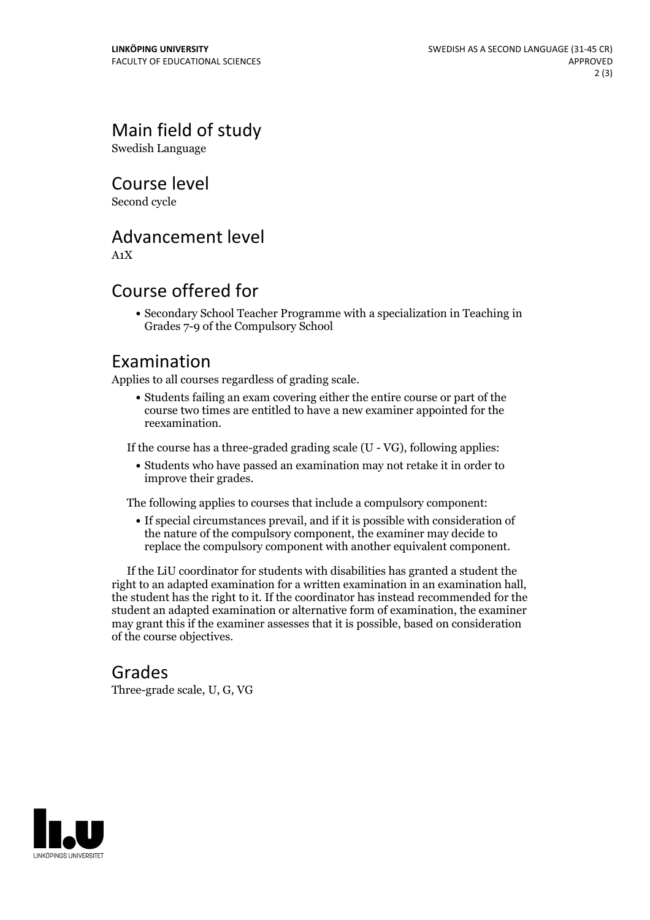Main field of study

Swedish Language

Course level

Second cycle

# Advancement level

A1X

# Course offered for

Secondary School Teacher Programme with a specialization in Teaching in Grades 7-9 of the Compulsory School

#### Examination

Applies to all courses regardless of grading scale.

Students failing an exam covering either the entire course or part of the course two times are entitled to have a new examiner appointed for the reexamination.

If the course has a three-graded grading scale (U - VG), following applies:

Students who have passed an examination may not retake it in order to improve their grades.

The following applies to courses that include a compulsory component:

If special circumstances prevail, and if it is possible with consideration of the nature of the compulsory component, the examiner may decide to replace the compulsory component with another equivalent component.

If the LiU coordinator for students with disabilities has granted a student the right to an adapted examination for <sup>a</sup> written examination in an examination hall, the student has the right to it. If the coordinator has instead recommended for the student an adapted examination or alternative form of examination, the examiner may grant this if the examiner assesses that it is possible, based on consideration of the course objectives.

#### Grades

Three-grade scale, U, G, VG